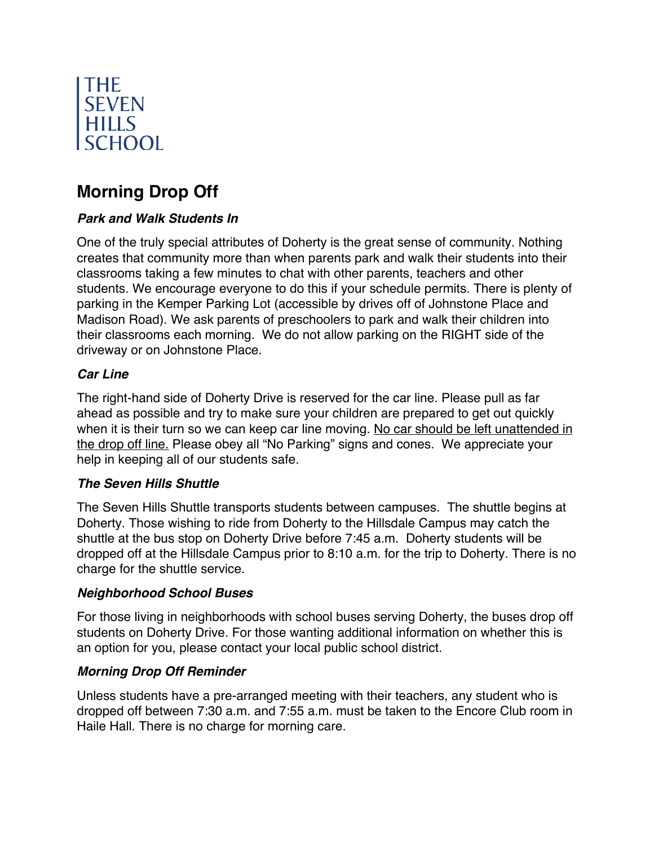

# **Morning Drop Off**

## *Park and Walk Students In*

One of the truly special attributes of Doherty is the great sense of community. Nothing creates that community more than when parents park and walk their students into their classrooms taking a few minutes to chat with other parents, teachers and other students. We encourage everyone to do this if your schedule permits. There is plenty of parking in the Kemper Parking Lot (accessible by drives off of Johnstone Place and Madison Road). We ask parents of preschoolers to park and walk their children into their classrooms each morning. We do not allow parking on the RIGHT side of the driveway or on Johnstone Place.

#### *Car Line*

The right-hand side of Doherty Drive is reserved for the car line. Please pull as far ahead as possible and try to make sure your children are prepared to get out quickly when it is their turn so we can keep car line moving. No car should be left unattended in the drop off line. Please obey all "No Parking" signs and cones. We appreciate your help in keeping all of our students safe.

## *The Seven Hills Shuttle*

The Seven Hills Shuttle transports students between campuses. The shuttle begins at Doherty. Those wishing to ride from Doherty to the Hillsdale Campus may catch the shuttle at the bus stop on Doherty Drive before 7:45 a.m. Doherty students will be dropped off at the Hillsdale Campus prior to 8:10 a.m. for the trip to Doherty. There is no charge for the shuttle service.

#### *Neighborhood School Buses*

For those living in neighborhoods with school buses serving Doherty, the buses drop off students on Doherty Drive. For those wanting additional information on whether this is an option for you, please contact your local public school district.

## *Morning Drop Off Reminder*

Unless students have a pre-arranged meeting with their teachers, any student who is dropped off between 7:30 a.m. and 7:55 a.m. must be taken to the Encore Club room in Haile Hall. There is no charge for morning care.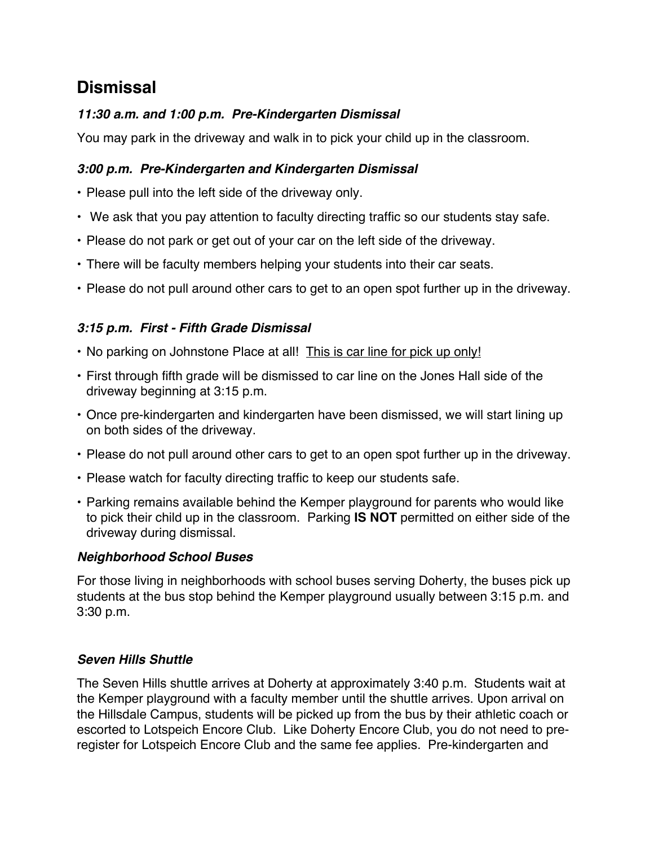## **Dismissal**

#### *11:30 a.m. and 1:00 p.m. Pre-Kindergarten Dismissal*

You may park in the driveway and walk in to pick your child up in the classroom.

#### *3:00 p.m. Pre-Kindergarten and Kindergarten Dismissal*

- Please pull into the left side of the driveway only.
- We ask that you pay attention to faculty directing traffic so our students stay safe.
- Please do not park or get out of your car on the left side of the driveway.
- There will be faculty members helping your students into their car seats.
- Please do not pull around other cars to get to an open spot further up in the driveway.

#### *3:15 p.m. First - Fifth Grade Dismissal*

- No parking on Johnstone Place at all! This is car line for pick up only!
- First through fifth grade will be dismissed to car line on the Jones Hall side of the driveway beginning at 3:15 p.m.
- Once pre-kindergarten and kindergarten have been dismissed, we will start lining up on both sides of the driveway.
- Please do not pull around other cars to get to an open spot further up in the driveway.
- Please watch for faculty directing traffic to keep our students safe.
- Parking remains available behind the Kemper playground for parents who would like to pick their child up in the classroom. Parking **IS NOT** permitted on either side of the driveway during dismissal.

#### *Neighborhood School Buses*

For those living in neighborhoods with school buses serving Doherty, the buses pick up students at the bus stop behind the Kemper playground usually between 3:15 p.m. and 3:30 p.m.

#### *Seven Hills Shuttle*

The Seven Hills shuttle arrives at Doherty at approximately 3:40 p.m. Students wait at the Kemper playground with a faculty member until the shuttle arrives. Upon arrival on the Hillsdale Campus, students will be picked up from the bus by their athletic coach or escorted to Lotspeich Encore Club. Like Doherty Encore Club, you do not need to preregister for Lotspeich Encore Club and the same fee applies. Pre-kindergarten and